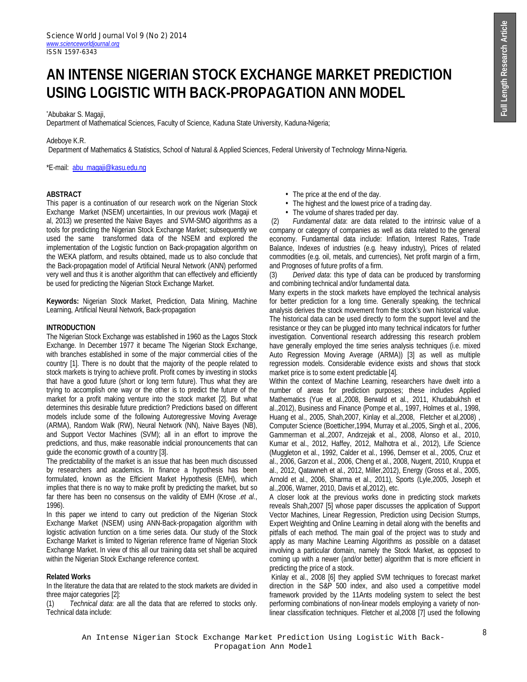# **AN INTENSE NIGERIAN STOCK EXCHANGE MARKET PREDICTION USING LOGISTIC WITH BACK-PROPAGATION ANN MODEL**

## \*Abubakar S. Magaji,

Department of Mathematical Sciences, Faculty of Science, Kaduna State University, Kaduna-Nigeria;

## Adeboye K.R.

Department of Mathematics & Statistics, School of Natural & Applied Sciences, Federal University of Technology Minna-Nigeria.

\*E-mail: abu\_magaji@kasu.edu.ng

## **ABSTRACT**

This paper is a continuation of our research work on the Nigerian Stock Exchange Market (NSEM) uncertainties, In our previous work (Magaji et al, 2013) we presented the Naive Bayes and SVM-SMO algorithms as a tools for predicting the Nigerian Stock Exchange Market; subsequently we used the same transformed data of the NSEM and explored the implementation of the Logistic function on Back-propagation algorithm on the WEKA platform, and results obtained, made us to also conclude that the Back-propagation model of Artificial Neural Network (ANN) performed very well and thus it is another algorithm that can effectively and efficiently be used for predicting the Nigerian Stock Exchange Market.

**Keywords:** Nigerian Stock Market, Prediction, Data Mining, Machine Learning, Artificial Neural Network, Back-propagation

## **INTRODUCTION**

The Nigerian Stock Exchange was established in 1960 as the Lagos Stock Exchange. In December 1977 it became The Nigerian Stock Exchange, with branches established in some of the major commercial cities of the country [1]. There is no doubt that the majority of the people related to stock markets is trying to achieve profit. Profit comes by investing in stocks that have a good future (short or long term future). Thus what they are trying to accomplish one way or the other is to predict the future of the market for a profit making venture into the stock market [2]. But what determines this desirable future prediction? Predictions based on different models include some of the following Autoregressive Moving Average (ARMA), Random Walk (RW), Neural Network (NN), Naive Bayes (NB), and Support Vector Machines (SVM); all in an effort to improve the predictions, and thus, make reasonable indicial pronouncements that can guide the economic growth of a country [3].

The predictability of the market is an issue that has been much discussed by researchers and academics. In finance a hypothesis has been formulated, known as the Efficient Market Hypothesis (EMH), which implies that there is no way to make profit by predicting the market, but so far there has been no consensus on the validity of EMH (Krose .*et al*., 1996).

In this paper we intend to carry out prediction of the Nigerian Stock Exchange Market (NSEM) using ANN-Back-propagation algorithm with logistic activation function on a time series data. Our study of the Stock Exchange Market is limited to Nigerian reference frame of Nigerian Stock Exchange Market. In view of this all our training data set shall be acquired within the Nigerian Stock Exchange reference context.

#### **Related Works**

In the literature the data that are related to the stock markets are divided in three major categories [2]:

(1) *Technical data*: are all the data that are referred to stocks only. Technical data include:

- The price at the end of the day.
- The highest and the lowest price of a trading day.
- The volume of shares traded per day.

(2) *Fundamental data*: are data related to the intrinsic value of a company or category of companies as well as data related to the general economy. Fundamental data include: Inflation, Interest Rates, Trade Balance, Indexes of industries (e.g. heavy industry), Prices of related commodities (e.g. oil, metals, and currencies), Net profit margin of a firm, and Prognoses of future profits of a firm.

(3) *Derived data*: this type of data can be produced by transforming and combining technical and/or fundamental data.

Many experts in the stock markets have employed the technical analysis for better prediction for a long time. Generally speaking, the technical analysis derives the stock movement from the stock's own historical value. The historical data can be used directly to form the support level and the resistance or they can be plugged into many technical indicators for further investigation. Conventional research addressing this research problem have generally employed the time series analysis techniques (i.e. mixed Auto Regression Moving Average (ARMA)) [3] as well as multiple regression models. Considerable evidence exists and shows that stock market price is to some extent predictable [4].

Within the context of Machine Learning, researchers have dwelt into a number of areas for prediction purposes; these includes Applied Mathematics (Yue et al.,2008, Berwald et al., 2011, Khudabukhsh et al.,2012), Business and Finance (Pompe et al., 1997, Holmes et al., 1998, Huang et al., 2005, Shah,2007, Kinlay et al.,2008, Fletcher et al,2008) , Computer Science (Boetticher,1994, Murray et al.,2005, Singh et al., 2006, Gammerman et al.,2007, Andrzejak et al., 2008, Alonso et al., 2010, Kumar et al., 2012, Haffey, 2012, Malhotra et al., 2012), Life Science (Muggleton et al., 1992, Calder et al., 1996, Demser et al., 2005, Cruz et al., 2006, Garzon et al., 2006, Cheng et al., 2008, Nugent, 2010, Kruppa et al., 2012, Qatawneh et al., 2012, Miller,2012), Energy (Gross et al., 2005, Arnold et al., 2006, Sharma et al., 2011), Sports (Lyle,2005, Joseph et al.,2006, Warner, 2010, Davis et al,2012), etc.

A closer look at the previous works done in predicting stock markets reveals Shah,2007 [5] whose paper discusses the application of Support Vector Machines, Linear Regression, Prediction using Decision Stumps, Expert Weighting and Online Learning in detail along with the benefits and pitfalls of each method. The main goal of the project was to study and apply as many Machine Learning Algorithms as possible on a dataset involving a particular domain, namely the Stock Market, as opposed to coming up with a newer (and/or better) algorithm that is more efficient in predicting the price of a stock.

Kinlay et al., 2008 [6] they applied SVM techniques to forecast market direction in the S&P 500 index, and also used a competitive model framework provided by the 11Ants modeling system to select the best performing combinations of non-linear models employing a variety of nonlinear classification techniques. Fletcher et al,2008 [7] used the following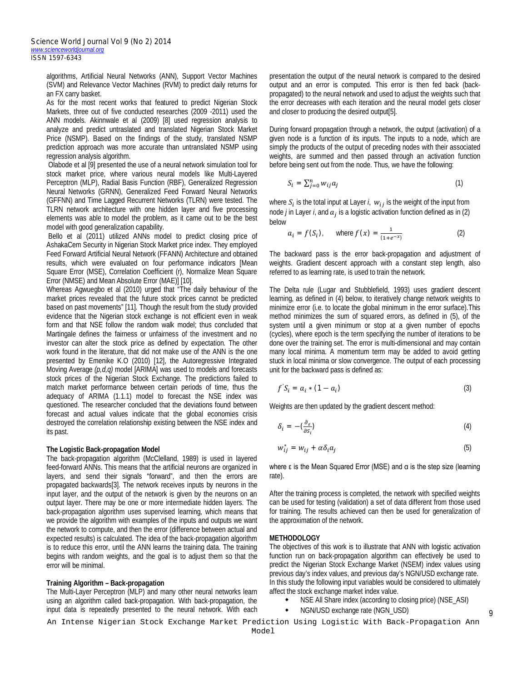algorithms, Artificial Neural Networks (ANN), Support Vector Machines (SVM) and Relevance Vector Machines (RVM) to predict daily returns for an FX carry basket.

As for the most recent works that featured to predict Nigerian Stock Markets, three out of five conducted researches (2009 -2011) used the ANN models. Akinnwale et al (2009) [8] used regression analysis to analyze and predict untraslated and translated Nigerian Stock Market Price (NSMP). Based on the findings of the study, translated NSMP prediction approach was more accurate than untranslated NSMP using regression analysis algorithm.

Olabode et al [9] presented the use of a neural network simulation tool for stock market price, where various neural models like Multi-Layered Perceptron (MLP), Radial Basis Function (RBF), Generalized Regression Neural Networks (GRNN), Generalized Feed Forward Neural Networks (GFFNN) and Time Lagged Recurrent Networks (TLRN) were tested. The TLRN network architecture with one hidden layer and five processing elements was able to model the problem, as it came out to be the best model with good generalization capability.

Bello et al (2011) utilized ANNs model to predict closing price of AshakaCem Security in Nigerian Stock Market price index. They employed Feed Forward Artificial Neural Network (FFANN) Architecture and obtained results, which were evaluated on four performance indicators [Mean Square Error (MSE), Correlation Coefficient (r), Normalize Mean Square Error (NMSE) and Mean Absolute Error (MAE)] [10].

Whereas Agwuegbo et al (2010) urged that "The daily behaviour of the market prices revealed that the future stock prices cannot be predicted based on past movements" [11]. Though the result from the study provided evidence that the Nigerian stock exchange is not efficient even in weak form and that NSE follow the random walk model; thus concluded that Martingale defines the fairness or unfairness of the investment and no investor can alter the stock price as defined by expectation. The other work found in the literature, that did not make use of the ANN is the one presented by Emenike K.O (2010) [12], the Autoregressive Integrated Moving Average *(p,d,q)* model [ARIMA] was used to models and forecasts stock prices of the Nigerian Stock Exchange. The predictions failed to match market performance between certain periods of time, thus the adequacy of ARIMA (1.1.1) model to forecast the NSE index was questioned. The researcher concluded that the deviations found between forecast and actual values indicate that the global economies crisis destroyed the correlation relationship existing between the NSE index and its past.

#### **The Logistic Back-propagation Model**

The back-propagation algorithm (McClelland, 1989) is used in layered feed-forward ANNs. This means that the artificial neurons are organized in layers, and send their signals "forward", and then the errors are propagated backwards[3]. The network receives inputs by neurons in the input layer, and the output of the network is given by the neurons on an output layer. There may be one or more intermediate hidden layers. The back-propagation algorithm uses supervised learning, which means that we provide the algorithm with examples of the inputs and outputs we want the network to compute, and then the error (difference between actual and expected results) is calculated. The idea of the back-propagation algorithm is to reduce this error, until the ANN learns the training data. The training begins with random weights, and the goal is to adjust them so that the error will be minimal.

#### **Training Algorithm – Back-propagation**

The Multi-Layer Perceptron (MLP) and many other neural networks learn using an algorithm called back-propagation. With back-propagation, the input data is repeatedly presented to the neural network. With each presentation the output of the neural network is compared to the desired output and an error is computed. This error is then fed back (backpropagated) to the neural network and used to adjust the weights such that the error decreases with each iteration and the neural model gets closer and closer to producing the desired output[5].

During forward propagation through a network, the output (activation) of a given node is a function of its inputs. The inputs to a node, which are simply the products of the output of preceding nodes with their associated weights, are summed and then passed through an activation function before being sent out from the node. Thus, we have the following:

$$
S_i = \sum_{j=0}^n w_{ij} a_j \tag{1}
$$

where  $S_i$  is the total input at Layer *i*,  $w_{ij}$  is the weight of the input from node *j* in Layer *i*, and  $a_j$  is a logistic activation function defined as in (2) below

$$
a_i = f(S_i)
$$
, where  $f(x) = \frac{1}{(1 + e^{-x})}$  (2)

The backward pass is the error back-propagation and adjustment of weights. Gradient descent approach with a constant step length, also referred to as learning rate, is used to train the network.

The Delta rule (Lugar and Stubblefield, 1993) uses gradient descent learning, as defined in (4) below, to iteratively change network weights to minimize error (i.e. to locate the global minimum in the error surface).This method minimizes the sum of squared errors, as defined in (5), of the system until a given minimum or stop at a given number of epochs (cycles), where epoch is the term specifying the number of iterations to be done over the training set. The error is multi-dimensional and may contain many local minima. A momentum term may be added to avoid getting stuck in local minima or slow convergence. The output of each processing unit for the backward pass is defined as:

$$
f'S_i = a_i * (1 - a_i)
$$
\n<sup>(3)</sup>

Weights are then updated by the gradient descent method:

$$
\delta_i = -(\frac{\partial_{\varepsilon}}{\partial s_i})
$$
\n(4)

$$
w_{ij}^* = w_{ij} + \alpha \delta_i a_j \tag{5}
$$

where ε is the Mean Squared Error (MSE) and  $α$  is the step size (learning rate).

After the training process is completed, the network with specified weights can be used for testing (validation) a set of data different from those used for training. The results achieved can then be used for generalization of the approximation of the network.

#### **METHODOLOGY**

The objectives of this work is to illustrate that ANN with logistic activation function run on back-propagation algorithm can effectively be used to predict the Nigerian Stock Exchange Market (NSEM) index values using previous day's index values, and previous day's NGN/USD exchange rate. In this study the following input variables would be considered to ultimately affect the stock exchange market index value.

- NSE All Share index (according to closing price) (NSE\_ASI)
- NGN/USD exchange rate (NGN\_USD) 9

An Intense Nigerian Stock Exchange Market Prediction Using Logistic With Back-Propagation Ann Model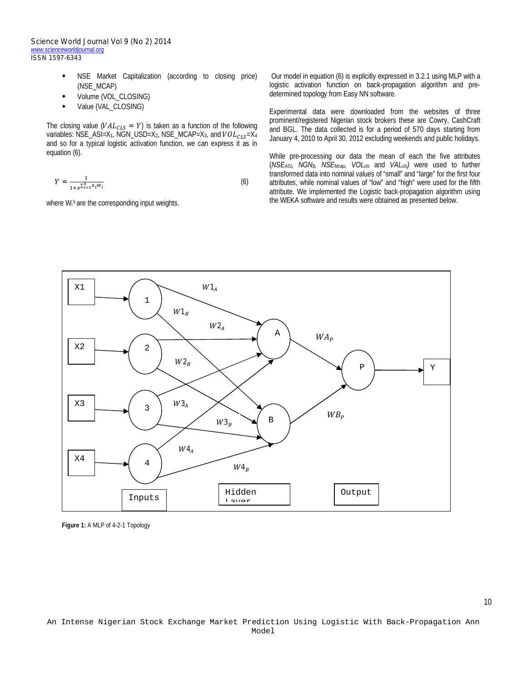*Science World Journal Vol 9 (No 2) 2014 www.scienceworldjournal.org ISSN 1597-6343*

- NSE Market Capitalization (according to closing price) (NSE\_MCAP)
- Volume (VOL\_CLOSING)
- Value (VAL\_CLOSING)

The closing value ( $VAL_{CLS} = Y$ ) is taken as a function of the following variables: NSE\_ASI=X<sub>1</sub>, NGN\_USD=X<sub>2</sub>, NSE\_MCAP=X<sub>3</sub>, and  $VOL_{CLS} = X_4$ and so for a typical logistic activation function, we can express it as in equation (6).

$$
Y = \frac{1}{1 + e^{\sum_{i=1}^{4} X_i W_i}}
$$
 (6)

where W<sub>i</sub>'s are the corresponding input weights.

Our model in equation (6) is explicitly expressed in 3.2.1 using MLP with a logistic activation function on back-propagation algorithm and predetermined topology from Easy NN software.

Experimental data were downloaded from the websites of three prominent/registered Nigerian stock brokers these are Cowry, CashCraft and BGL. The data collected is for a period of 570 days starting from January 4, 2010 to April 30, 2012 excluding weekends and public holidays.

While pre-processing our data the mean of each the five attributes (*NSEASI, NGN\$, NSEMcap, VOLcls* and *VALcls)* were used to further transformed data into nominal values of "small" and "large" for the first four attributes, while nominal values of "low" and "high" were used for the fifth attribute. We implemented the Logistic back-propagation algorithm using the WEKA software and results were obtained as presented below.



**Figure 1:** A MLP of 4-2-1 Topology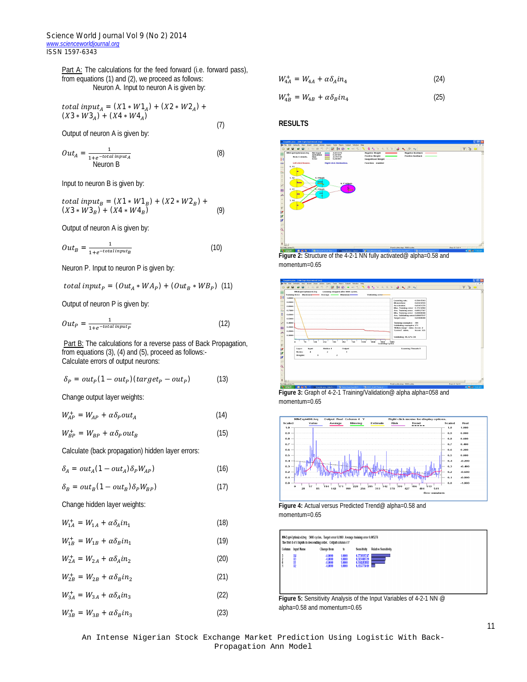Part A: The calculations for the feed forward (i.e. forward pass), from equations (1) and (2), we proceed as follows: Neuron A. Input to neuron A is given by:

total input<sub>A</sub> = 
$$
(X1 * W1_A) + (X2 * W2_A) + (X3 * W3_A) + (X4 * W4_A)
$$

Output of neuron A is given by:

$$
Out_A = \frac{1}{1 + e^{-total \, input_A}}
$$
\n(8)

\nNeuron B

Input to neuron B is given by:

total input<sub>B</sub> = 
$$
(X1 * W1_B) + (X2 * W2_B) + (X3 * W3_B) + (X4 * W4_B)
$$
 (9)

Output of neuron A is given by:

$$
Out_B = \frac{1}{1 + e^{-\text{total input}_B}}
$$
 (10)

Neuron P. Input to neuron P is given by:

total input<sub>p</sub> =  $(Out_A * WA_P) + (Out_B * WB_P)$  (11)

Output of neuron P is given by:

$$
Out_P = \frac{1}{1 + e^{-total\,input_P}}\tag{12}
$$

Part B: The calculations for a reverse pass of Back Propagation, from equations (3), (4) and (5), proceed as follows:- Calculate errors of output neurons:

$$
\delta_P = out_P(1 - out_P)(target_P - out_P) \tag{13}
$$

Change output layer weights:

$$
W_{AP}^+ = W_{AP} + \alpha \delta_P out_A \tag{14}
$$

$$
W_{BP}^+ = W_{BP} + \alpha \delta_P out_B \tag{15}
$$

Calculate (back propagation) hidden layer errors:

$$
\delta_A = out_A (1 - out_A) \delta_P W_{AP}) \tag{16}
$$

$$
\delta_B = out_B (1 - out_B) \delta_P W_{BP}) \tag{17}
$$

Change hidden layer weights:

$$
W_{1A}^{+} = W_{1A} + \alpha \delta_A i n_1 \tag{18}
$$

$$
W_{1B}^{+} = W_{1B} + \alpha \delta_B i n_1 \tag{19}
$$

$$
W_{2A}^{+} = W_{2A} + \alpha \delta_A i n_2 \tag{20}
$$

 $W_{2B}^+ = W_{2B} + \alpha \delta_B i n_2$ (21)

$$
W_{3A}^{+} = W_{3A} + \alpha \delta_A i n_3
$$
\n(22)  
\n
$$
W_{3B}^{+} = W_{3B} + \alpha \delta_B i n_3
$$
\n(23)

$$
W_{4A}^+ = W_{4A} + \alpha \delta_A i n_4 \tag{24}
$$

$$
W_{4B}^+ = W_{4B} + \alpha \delta_B i n_4 \tag{25}
$$

## **RESULTS**

(7)



Figure 2: Structure of the 4-2-1 NN fully activated@ alpha=0.58 and momentum=0.65



**Figure 3:** Graph of 4-2-1 Training/Validation@ alpha alpha=058 and momentum=0.65



**Figure 4:** Actual versus Predicted Trend@ alpha=0.58 and momentum=0.65



alpha=0.58 and momentum=0.65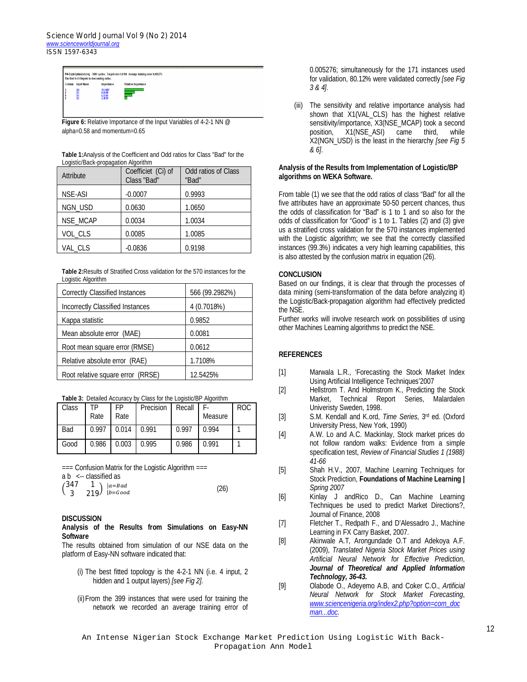| Column<br><b>Input Name</b> | Importance                 | <b>Relative Importance</b> |
|-----------------------------|----------------------------|----------------------------|
| X4                          | 15.9407                    |                            |
| $x_3$<br>Ÿ1<br>X2           | 8,6948<br>6,5116<br>2.4519 |                            |

Figure 6: Relative Importance of the Input Variables of 4-2-1 NN @ alpha=0.58 and momentum=0.65

**Table 1:**Analysis of the Coefficient and Odd ratios for Class "Bad" for the Logistic/Back-propagation Algorithm

| Attribute      | Coefficiet (Ci) of<br>Class "Bad" | Odd ratios of Class<br>"Bad" |
|----------------|-----------------------------------|------------------------------|
| <b>NSE-ASI</b> | $-0.0007$                         | 0.9993                       |
| NGN_USD        | 0.0630                            | 1.0650                       |
| NSE_MCAP       | 0.0034                            | 1.0034                       |
| VOL_CLS        | 0.0085                            | 1.0085                       |
| VAL CLS        | $-0.0836$                         | 0.9198                       |

**Table 2:**Results of Stratified Cross validation for the 570 instances for the Logistic Algorithm

| <b>Correctly Classified Instances</b> | 566 (99.2982%) |  |  |
|---------------------------------------|----------------|--|--|
| Incorrectly Classified Instances      | 4 (0.7018%)    |  |  |
| Kappa statistic                       | 0.9852         |  |  |
| Mean absolute error (MAE)             | 0.0081         |  |  |
| Root mean square error (RMSE)         | 0.0612         |  |  |
| Relative absolute error (RAE)         | 1.7108%        |  |  |
| Root relative square error (RRSE)     | 12.5425%       |  |  |

|  |  |  | Table 3: Detailed Accuracy by Class for the Logistic/BP Algorithm |  |
|--|--|--|-------------------------------------------------------------------|--|
|  |  |  |                                                                   |  |

| Class | TΡ<br>Rate | FP<br>Rate | Precision | Recall | F.<br>Measure | <b>ROC</b> |
|-------|------------|------------|-----------|--------|---------------|------------|
| Bad   | 0.997      | 0.014      | 0.991     | 0.997  | 0.994         |            |
| Good  | 0.986      | 0.003      | 0.995     | 0.986  | 0.991         |            |

=== Confusion Matrix for the Logistic Algorithm ===

a b <-- classified as

|  | $\begin{pmatrix} 347 & 1 \\ 3 & 219 \end{pmatrix}$ $\begin{matrix}  a=Bad \\ b=Good \end{matrix}$ | (26) |
|--|---------------------------------------------------------------------------------------------------|------|
|  |                                                                                                   |      |

#### **DISCUSSION**

## **Analysis of the Results from Simulations on Easy-NN Software**

The results obtained from simulation of our NSE data on the platform of Easy-NN software indicated that:

- (i) The best fitted topology is the 4-2-1 NN (i.e. 4 input, 2 hidden and 1 output layers) *[see Fig 2]*.
- (ii)From the 399 instances that were used for training the network we recorded an average training error of

0.005276; simultaneously for the 171 instances used for validation, 80.12% were validated correctly *[see Fig 3 & 4]*.

(iii) The sensitivity and relative importance analysis had shown that X1(VAL\_CLS) has the highest relative sensitivity/importance, X3(NSE\_MCAP) took a second<br>position, X1(NSE\_ASI) came third, while position, X1(NSE\_ASI) came third, while X2(NGN\_USD) is the least in the hierarchy *[see Fig 5 & 6]*.

## **Analysis of the Results from Implementation of Logistic/BP algorithms on WEKA Software.**

From table (1) we see that the odd ratios of class "Bad" for all the five attributes have an approximate 50-50 percent chances, thus the odds of classification for "Bad" is 1 to 1 and so also for the odds of classification for "Good" is 1 to 1. Tables (2) and (3) give us a stratified cross validation for the 570 instances implemented with the Logistic algorithm; we see that the correctly classified instances (99.3%) indicates a very high learning capabilities, this is also attested by the confusion matrix in equation (26).

## **CONCLUSION**

Based on our findings, it is clear that through the processes of data mining (semi-transformation of the data before analyzing it) the Logistic/Back-propagation algorithm had effectively predicted the NSE.

Further works will involve research work on possibilities of using other Machines Learning algorithms to predict the NSE.

# **REFERENCES**

- [1] Marwala L.R., 'Forecasting the Stock Market Index Using Artificial Intelligence Techniques'2007
- [2] Hellstrom T. And Holmstrom K., Predicting the Stock Market, Technical Report Series, Malardalen Univeristy Sweden, 1998.
- [3] S.M. Kendall and K.ord, *Time Series*, 3rd ed. (Oxford University Press, New York, 1990)
- [4] A.W. Lo and A.C. Mackinlay, Stock market prices do not follow random walks: Evidence from a simple specification test, *Review of Financial Studies 1 (1988) 41-66*
- [5] Shah H.V., 2007, Machine Learning Techniques for Stock Prediction, **Foundations of Machine Learning |**  *Spring 2007*
- [6] Kinlay J andRico D., Can Machine Learning Techniques be used to predict Market Directions?, Journal of Finance, 2008
- [7] Fletcher T., Redpath F., and D'Alessadro J., Machine Learning in FX Carry Basket, 2007.
- [8] Akinwale A.T, Arongundade O.T and Adekoya A.F. (2009), *Translated Nigeria Stock Market Prices using Artificial Neural Network for Effective Prediction*, *Journal of Theoretical and Applied Information Technology, 36-43.*
- [9] Olabode O., Adeyemo A.B, and Coker C.O., *Artificial Neural Network for Stock Market Forecasting*, *www.sciencenigeria.org/index2.php?option=com\_doc man...doc.*